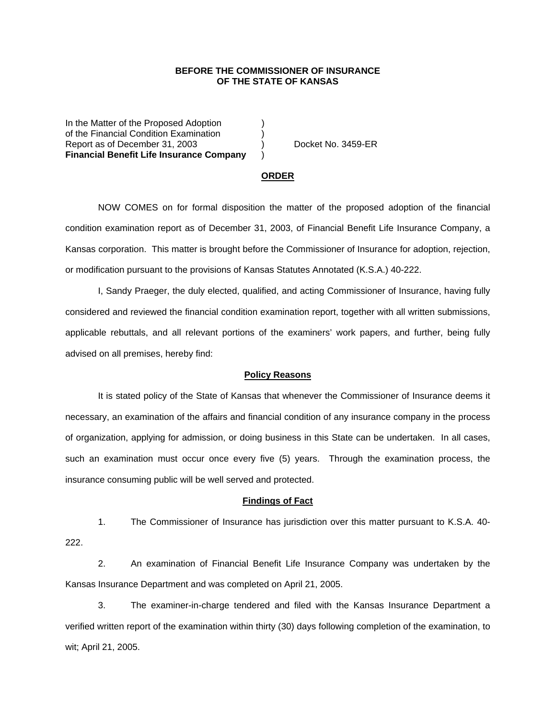## **BEFORE THE COMMISSIONER OF INSURANCE OF THE STATE OF KANSAS**

In the Matter of the Proposed Adoption of the Financial Condition Examination ) Report as of December 31, 2003 (a) Docket No. 3459-ER **Financial Benefit Life Insurance Company** )

#### **ORDER**

 NOW COMES on for formal disposition the matter of the proposed adoption of the financial condition examination report as of December 31, 2003, of Financial Benefit Life Insurance Company, a Kansas corporation. This matter is brought before the Commissioner of Insurance for adoption, rejection, or modification pursuant to the provisions of Kansas Statutes Annotated (K.S.A.) 40-222.

 I, Sandy Praeger, the duly elected, qualified, and acting Commissioner of Insurance, having fully considered and reviewed the financial condition examination report, together with all written submissions, applicable rebuttals, and all relevant portions of the examiners' work papers, and further, being fully advised on all premises, hereby find:

### **Policy Reasons**

 It is stated policy of the State of Kansas that whenever the Commissioner of Insurance deems it necessary, an examination of the affairs and financial condition of any insurance company in the process of organization, applying for admission, or doing business in this State can be undertaken. In all cases, such an examination must occur once every five (5) years. Through the examination process, the insurance consuming public will be well served and protected.

#### **Findings of Fact**

 1. The Commissioner of Insurance has jurisdiction over this matter pursuant to K.S.A. 40- 222.

 2. An examination of Financial Benefit Life Insurance Company was undertaken by the Kansas Insurance Department and was completed on April 21, 2005.

 3. The examiner-in-charge tendered and filed with the Kansas Insurance Department a verified written report of the examination within thirty (30) days following completion of the examination, to wit; April 21, 2005.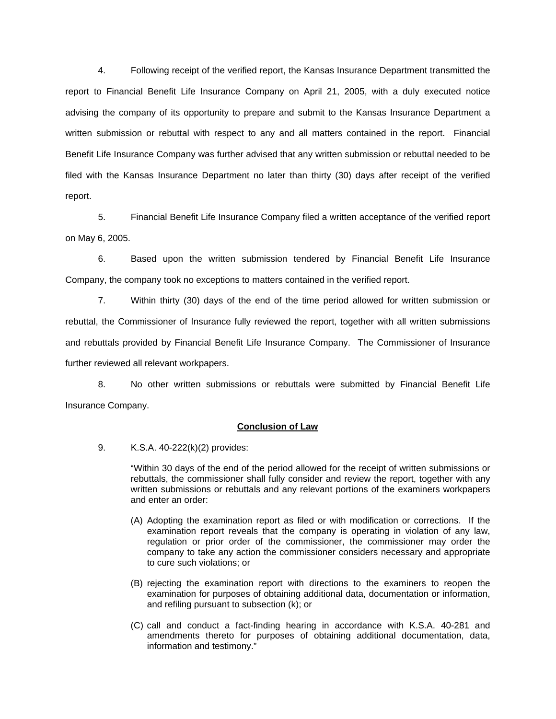4. Following receipt of the verified report, the Kansas Insurance Department transmitted the report to Financial Benefit Life Insurance Company on April 21, 2005, with a duly executed notice advising the company of its opportunity to prepare and submit to the Kansas Insurance Department a written submission or rebuttal with respect to any and all matters contained in the report. Financial Benefit Life Insurance Company was further advised that any written submission or rebuttal needed to be filed with the Kansas Insurance Department no later than thirty (30) days after receipt of the verified report.

 5. Financial Benefit Life Insurance Company filed a written acceptance of the verified report on May 6, 2005.

 6. Based upon the written submission tendered by Financial Benefit Life Insurance Company, the company took no exceptions to matters contained in the verified report.

 7. Within thirty (30) days of the end of the time period allowed for written submission or rebuttal, the Commissioner of Insurance fully reviewed the report, together with all written submissions and rebuttals provided by Financial Benefit Life Insurance Company. The Commissioner of Insurance further reviewed all relevant workpapers.

 8. No other written submissions or rebuttals were submitted by Financial Benefit Life Insurance Company.

## **Conclusion of Law**

9. K.S.A. 40-222(k)(2) provides:

"Within 30 days of the end of the period allowed for the receipt of written submissions or rebuttals, the commissioner shall fully consider and review the report, together with any written submissions or rebuttals and any relevant portions of the examiners workpapers and enter an order:

- (A) Adopting the examination report as filed or with modification or corrections. If the examination report reveals that the company is operating in violation of any law, regulation or prior order of the commissioner, the commissioner may order the company to take any action the commissioner considers necessary and appropriate to cure such violations; or
- (B) rejecting the examination report with directions to the examiners to reopen the examination for purposes of obtaining additional data, documentation or information, and refiling pursuant to subsection (k); or
- (C) call and conduct a fact-finding hearing in accordance with K.S.A. 40-281 and amendments thereto for purposes of obtaining additional documentation, data, information and testimony."